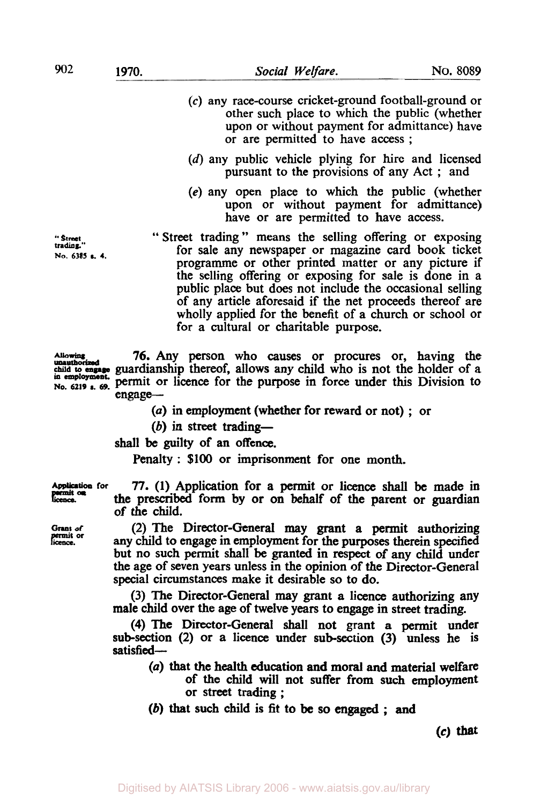- *(c)* any race-course cricket-ground football-ground or other such place to which the public (whether upon or without payment for admittance) have or are permitted to have access ;
- (d) any public vehicle plying for hire and licensed pursuant to the provisions of any Act ; and
- **(e)** any open place to which the public (whether upon or without payment for admittance) have or are permitted to have access.

" **Street**  *trading."*  **No. 6385 S. 4.**  " Street trading " means the selling offering or exposing for sale any newspaper or magazine card book ticket programme or other printed matter or any picture if the selling offering or exposing for sale is done in a public place but does not include the occasional selling of any article aforesaid if the net proceeds thereof are wholly applied for the benefit of a church or school or for a cultural or charitable purpose.

Allowing **76.** Any **person** who causes or procures or, having the guardianship thereof, allows any child who is not the holder of a permit or licence for the purpose in force under this Division to engage-

*(a)* in employment (whether for reward or not) ; or

(b) in street **trading-**

**shall** be guilty of an offence.

Penalty : \$100 or imprisonment for one month.

Application **for** *77.* **(1)** Application for a permit or licence **shall be** made in the prescribed form by or on behalf of the parent or guardian of the child.

**Grant of** (2) The Director-General may grant **a** permit authorizing any child to engage in employment for the purposes therein specified but no such permit shall be granted in **respect** of any child under the age of seven years unless in the opinion of the Director-General special circumstances make it desirable **so** to do.

> (3) The Director-General may grant a licence authorizing any male child over the age of twelve years to engage in street trading.

> **(4)** The Director-General shall not grant **a** permit under sub-section **(2)** or a licence under **sub-section** (3) unless he is satisfied-

- *(a)* that the health education **and moral** and material welfare
- of the child will not suffer from such employment or street trading ; (b) that such child is fit to **be so** *engaged* ; **and**

**(c)** that

**unauthorised in employment. No. 6219 & 69.**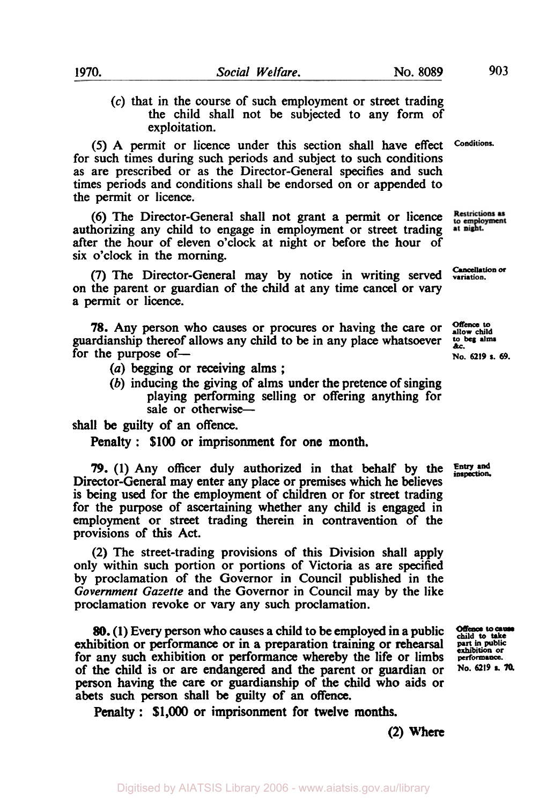*(c)* that in the course of such employment or street trading the child shall not be subjected to any form of exploitation.

*(5)* A permit or licence under this section shall have effect for such times during such periods and subject to such conditions as are prescribed or as the Director-General specifies and such times periods and conditions shall be endorsed on or appended to the permit or licence.

**(6)** The Director-General shall not grant a permit or licence authorizing any child to engage in employment or street trading after the hour of eleven o'clock at night or before the hour of six o'clock in the morning.

**(7)** The Director-General may by notice in writing served on the parent or guardian of the child at any time cancel or vary a permit or licence.

*78.* Any person who causes or procures or having the care or guardianship thereof allows any child to be in any place whatsoever for the purpose of-

- *(a)* begging or receiving alms ;
- (b) inducing the giving of alms under the pretence of singing playing performing selling or offering anything for sale or otherwise-

shall be guilty of an offence.

Penalty : **\$100** or imprisonment for one month.

*79.* **(1)** Any officer duly authorized in that behalf by the Director-General may enter any place or premises which he believes is being used for the employment of children or for street trading for the purpose of ascertaining whether any child is engaged in employment or street trading therein in contravention of the provisions of **this** Act.

**(2)** The street-trading provisions of this Division shall apply only within such portion or portions of Victoria as are specified by proclamation of the Governor in Council published in the *Government Gazette* and the Governor in Council may by the like proclamation revoke or vary any such proclamation.

*80.* **(1)** Every person who causes a child to be employed in **a** public exhibition or performance or in **a** preparation training or rehearsal for any such exhibition or performance whereby the life or limbs of the child is or are endangered and the parent or guardian or person having the care or guardianship of the child **who** aids or abets such person shall be guilty of an **offence.** 

Penalty : **\$1,000** or imprisonment for twelve **months.** 

**Entry and**  *inspection* 

**Offence** to cause<br>child to take **put in public exhibition or performance. No. 6219 s.** *70.* 

**Conditions.** 

**Restrictions as** to employment<br>at night.

Cancellation *or* **variation.** 

*Offence* **to allow child to beg aIms**  &c. **No. 6219 s. 69.** 

**(2)** Where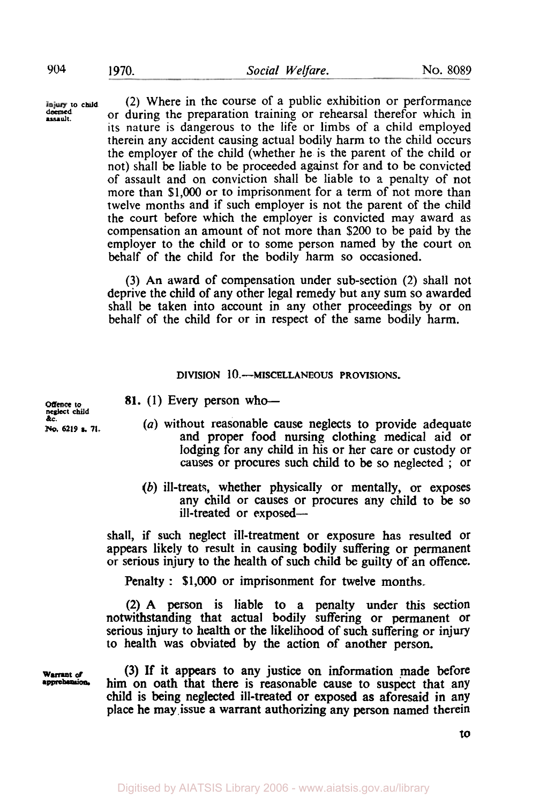**assault. deemed** 

**to <b>child** (2) Where in the course of a public exhibition or performance<br>deemed or during the preparation training or reheared therefor which in or during the preparation training or rehearsal therefor which in its nature is dangerous to the life or limbs of a child employed therein any accident causing actual bodily harm to the child occurs the employer of the child (whether he is the parent of the child or not) shall be liable to be proceeded against for and to be convicted of assault and on conviction shall be liable to a penalty of not more than \$1,000 or to imprisonment for a term of not more than twelve months and if such employer is not the parent of the child the court before which the employer is convicted may award as compensation an amount of not more than \$200 to be paid by the employer to the child or to some person named by the court on behalf of the child for the bodily harm **so** occasioned.

> (3) An award of compensation under sub-section (2) shall not deprive the child of any other legal remedy but any sum so awarded shall be taken into account in any other proceedings by or on behalf of the child for or in respect of the same bodily harm.

### **DIVISION 10.-MISCELLANEOUS PROVISIONS.**

**Offence** to<br>neglect child &c.

**81.** (1) Every person who-

- **No. 6219 s. 71.** *(a)* without reasonable cause neglects to provide adequate and proper food nursing clothing medical aid or lodging for any child in his or her care or custody or causes or procures such child to be so neglected ; or
	- (b) ill-treats, whether physically or mentally, or exposes any child or causes or procures any child to be **so**  ill-treated or exposed-

shall, if such neglect ill-treatment or exposure has resulted or appears likely to result in causing bodily suffering or permanent or serious injury to the health of such child be guilty of an offence.

Penalty : **\$1,000** or imprisonment for twelve months.

(2) **A** person is liable to a penalty under this section notwithstanding that actual bodily suffering or permanent or serious injury to health or the likelihood of such suffering or injury to health was obviated by the action of another person.

**Warrant** *of*  **apprehension** 

(3) If it appears to any justice on information made before him on oath that there is reasonable cause to suspect that any child is being neglected ill-treated or exposed as aforesaid in any place he may issue **a** warrant authorizing any person named therein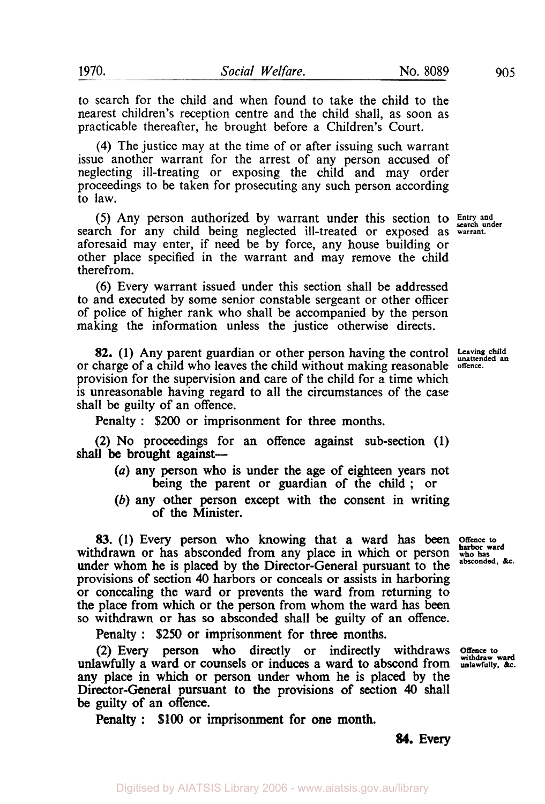to search for the child and when found to take the child to the nearest children's reception centre and the child shall, as soon as practicable thereafter, he brought before a Children's Court.

**(4)** The justice may at the time of or after issuing such warrant issue another warrant for the arrest of any person accused of neglecting ill-treating or exposing the child and may order proceedings to be taken for prosecuting any such person according to law.

search for any child being neglected ill-treated or exposed as **warrant.** aforesaid may enter, if need be by force, any house building or other place specified in the warrant and may remove the child therefrom. (5) Any person authorized by warrant under this section to **Entry and** 

(6) Every warrant issued under this section shall be addressed to and executed by some senior constable sergeant or other officer of police of higher rank who shall be accompanied by the person making the information unless the justice otherwise directs.

**82.** (1) Any parent guardian or other person having the control Leaving child or charge of a child who leaves the child without making reasonable **offence.**  provision for the supervision and care of the child for a time which is unreasonable having regard to all the circumstances of the case shall be guilty of an offence.

Penalty : \$200 or imprisonment for three months.

(2) No proceedings for an offence against sub-section **(1)**  shall be brought against-

- *(a)* any person who is under the age of eighteen years not being the parent or guardian of the child ; or
- (b) any other person except with the consent in writing of the Minister.

83. (1) Every person who knowing that a ward has been **Offence to**  withdrawn or has absconded from any place in which or person who has <br>under whom he is placed by the Director General purement to the absconded, &c. under whom he is placed by the Director-General pursuant to the provisions **of** section **40** harbors or conceals or assists in harboring or concealing the ward or prevents the ward from returning to the place from which or the person from whom the ward has been so withdrawn or has **so** absconded shall be guilty of an offence.

Penalty : *\$250* or imprisonment for three months.

(2) Every person who directly or indirectly withdraws **Offence to withdraw ward**  unlawfully a ward or counsels or induces a ward to abscond from any place in which or person under whom he is placed by the Director-General pursuant to the provisions of section **40** shall be guilty **of** an offence.

Penalty : **\$100** or imprisonment for one **month.** 

**harbor ward** 

*84.* **Every**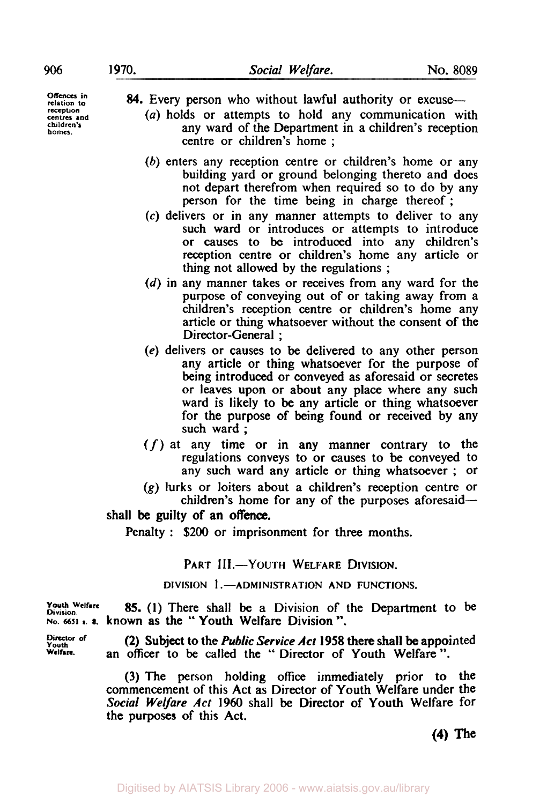$rectention$ **centres and children'r homes.** 

*84.* Every person who without lawful authority or excuse- **Offences** *in* 

- *(a)* holds or attempts to hold any communication with any ward of the Department in a children's reception centre or children's home ;
- *(b)* enters any reception centre or children's home or any building yard or ground belonging thereto and does not depart therefrom when required so to do by any person for the time being in charge thereof;
- *(c)* delivers or in any manner attempts to deliver to any such ward or introduces or attempts to introduce or causes to be introduced into any children's reception centre or children's home any article or thing not allowed by the regulations ;
- (d) in any manner takes or receives from any ward for the purpose of conveying out of or taking away from a children's reception centre or children's home any article or thing whatsoever without the consent of the Director-General ;
- **(e)** delivers or causes to be delivered to any other person any article or thing whatsoever for the purpose of being introduced or conveyed as aforesaid or secretes or leaves upon or about any place where any such ward is likely **to** be any article or thing whatsoever for the purpose of being found or received by any such ward ;
- *(f)* at any time or in any manner contrary to the regulations conveys to or causes to be conveyed to any such ward any article or thing whatsoever ; or
- **(g)** lurks or loiters about a children's reception centre or children's home for any of the purposes aforesaid-

#### shall be guilty of an **offence.**

Penalty : \$200 or imprisonment for three months.

## PART III.-YOUTH WELFARE DIVISION.

**DIVISION 1 .-ADMINISTRATION AND FUNCTIONS.** 

**Division. Welfare NO. 6651** *s. 8.* known as the " Youth Welfare Division ". **85. (1)** There shall be a Division of the Department to be

Director of<br>Youth<br>Welfare.

**Welfare.** an **officer** to be called the " Director of Youth Welfare ". (2) Subject to the *Public Service Act* **1958** there shall be appointed

(3) The person holding office immediately prior to **the**  commencement of this Act as Director of Youth Welfare under the *Social Welfare Act* **1960** shall be Director of Youth Welfare for **the** purposes of this Act.

**(4) The**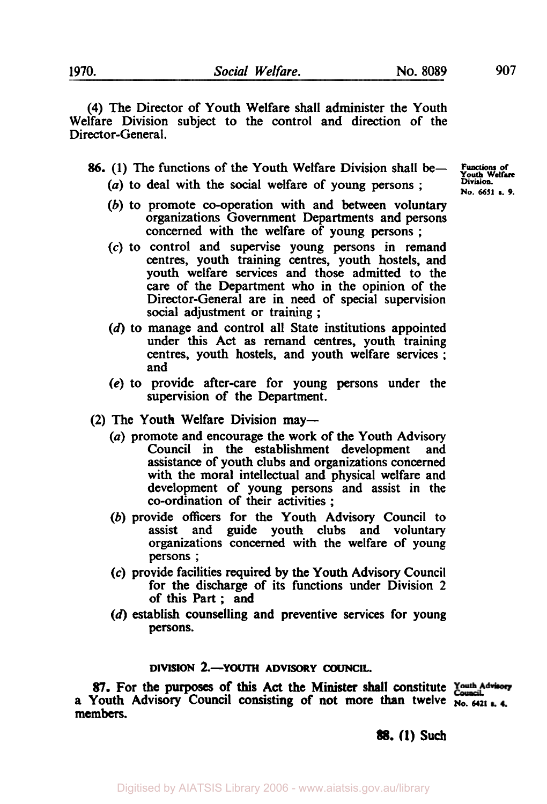**(4)** The Director of Youth Welfare shall administer the Youth Welfare Division subject to the control and direction of the Director-General.

*86.* (1) The functions of the Youth Welfare Division shall **be-** 

- *(a)* to deal with the social welfare of young persons ;
- (b) to promote co-operation with and **between** voluntary organizations Government Departments and persons concerned with the welfare of young persons ;
- *(c)* to control and supervise young persons in remand centres, youth training centres, youth hostels, and youth welfare services and those admitted to the **care** of the Department who in the opinion of the Director-General are in need of special supervision social adjustment or training ;
- (d) to manage and control all State institutions appointed under **this** Act **as** remand centres, youth training centres, youth hostels, and youth welfare services ; and
- *(e)* to provide after-care for young persons under **the**  supervision of the Department.
- (2) The Youth Welfare Division may-
	- (a) promote and encourage the work of the Youth Advisory<br>Council in the establishment development and Council in the establishment development assistance of youth clubs and organizations concerned with the moral intellectual and physical welfare and development of young persons and assist in the co-ordination of their activities ;
	- (b) provide **officers** for the Youth Advisory Council to assist and guide youth clubs and voluntary organizations concerned with the welfare of young persons ;
	- *(c)* provide facilities required by the Youth Advisory Council for the discharge of its functions under Division 2 of **this** Part ; **and**
	- (d) establish counselling and preventive services for young **persons.**

## **DlVISION** *2.-YOUTH* **ADVISORY COUNCIL.**

*87.* For **the** purposes of **this Act the Minister shall constitute**  a Youth Advisory Council consisting of not more than twelve  $N_0$ ,  $6421 + 6$ **members.** 

*88.* **(1) such** 

Functions of Youth Welfare **Division. No. 6651** *s. 9.*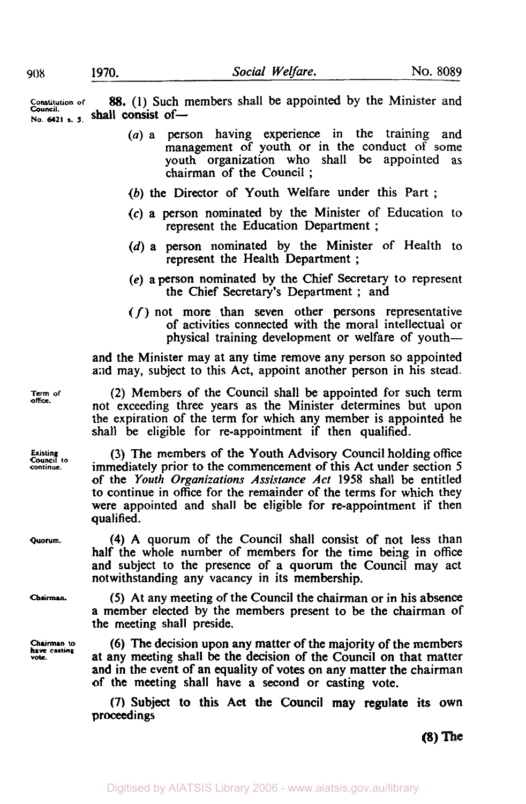**Constitution of** *88.* **(1)** Such members shall be appointed by the Minister and **No, Council.** s. **5.** shall consist of-

- (a) a person having experience in the training and management of youth or in the conduct of some youth organization who shall be appointed as chairman of the Council ;
- (b) the Director of Youth Welfare under this Part ;
- *(c)* a person nominated by the Minister of Education to represent the Education Department ;
- (d) a person nominated by the Minister of Health to represent the Health Department ;
- *(e)* a person nominated by the Chief Secretary to represent the Chief Secretary's Department ; and
- *(f)* not more than seven other persons representative of activities connected with the moral intellectual or physical training development or welfare of youth-

and the Minister may at any time remove any person so appointed and may, subject to this Act, appoint another person in his stead.

(2) Members of the Council shall be appointed for such term not exceeding three years as the Minister determines but upon the expiration of the term for which any member is appointed he shall be eligible for re-appointment if then qualified.

(3) The members of the Youth Advisory Council holding office immediately prior to the commencement of this Act under section 5 of the *Youth Organizations Assistance Act* 1958 shall be entitled to continue in office for the remainder of the terms for which they were appointed and shall be eligible for re-appointment if then qualified.

**(4)** A quorum of the Council shall consist of not less than half the whole number of members for the time being in **office**  and subject to the presence of a quorum the Council may act notwithstanding any vacancy in its membership.

*(5)* At any meeting of the Council the chairman or in his absence a member elected by the members present to be the chairman of the meeting shall preside.

(6) The decision upon any matter of the majority of the members at any meeting shall be the decision of the Council **on** that matter and in the event **of** an equality of votes on any matter the chairman of the meeting shall have a second or casting vote.

**(7)** Subject **to** this **Act** the Council may regulate its own proceedings

**(8)** 

**Term of Office.** 

**Existing Council to continue.** 

**Quorum.** 

**Chairman.** 

**Chairman to have casting vote.**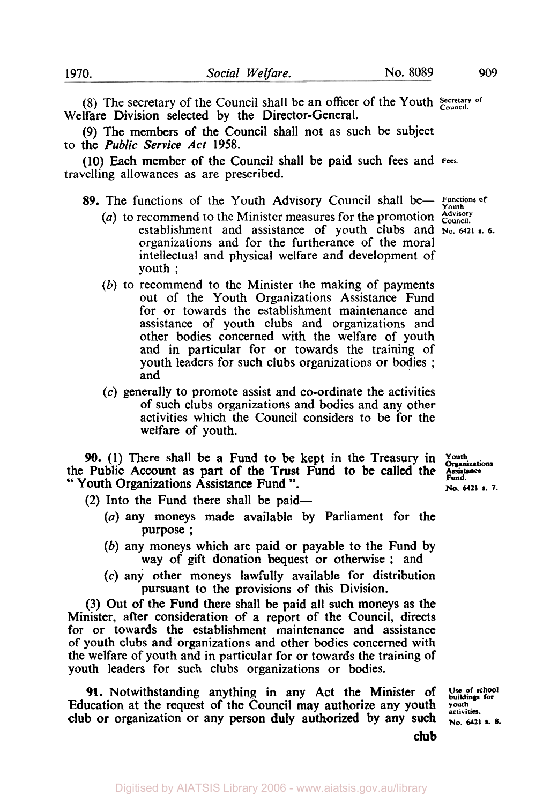(8) The secretary of the Council shall be an officer of the Youth Secretary of Welfare Division selected by the Director-General.

(9) The members of the Council shall not as such be subject to the *Public Service Act* 1958.

(10) Each member of the Council shall be paid such fees and **Fees.**  travelling allowances as are prescribed.

# 89. The functions of the Youth Advisory Council shall be- Functions of

- *(a)* to recommend to the Minister measures for the promotion *Advisory Council*  establishment and assistance of youth clubs and No. 6421 s. 6. organizations and for the furtherance of the moral intellectual and physical welfare and development of youth ;
- (b) to recommend to the Minister the making of payments out of the Youth Organizations Assistance Fund for or towards the establishment maintenance and assistance of youth clubs and organizations and other bodies concerned with the welfare of youth and in particular for or towards the training of youth leaders for such clubs organizations or bodies ; and
- *(c)* generally to promote assist and co-ordinate the activities of such clubs organizations and bodies and any other activities which the Council considers to be for the welfare of youth.

**90.** (1) There shall be a Fund to be kept in the Treasury in *Youth* Public Account as part of the Trust Fund to be called the Assistance the Public Account as part of the Trust Fund to be called the **Assistance Fund.** " Youth Organizations Assistance Fund ". **No. 6421 s. 7.** 

 $(2)$  Into the Fund there shall be paid—

- (a) any moneys made available by Parliament for the purpose ;
- (b) any moneys which are paid or payable to the Fund by way of gift donation bequest or otherwise ; and
- *(c)* any other moneys lawfully available for distribution pursuant to the provisions of this Division.

(3) Out of the Fund there shall be paid all such moneys as the Minister, after consideration of a report of the Council, directs for or towards the establishment maintenance and assistance of youth clubs and organizations and other bodies concerned with the welfare of youth and in particular for or towards the training of youth leaders for such clubs organizations or bodies.

91. Notwithstanding anything in any Act the Minister of Use of school Education at the request of the Council may authorize any youth youth scribing for club or organization or any person duly authorized by any such  $_{\text{$ 

**club**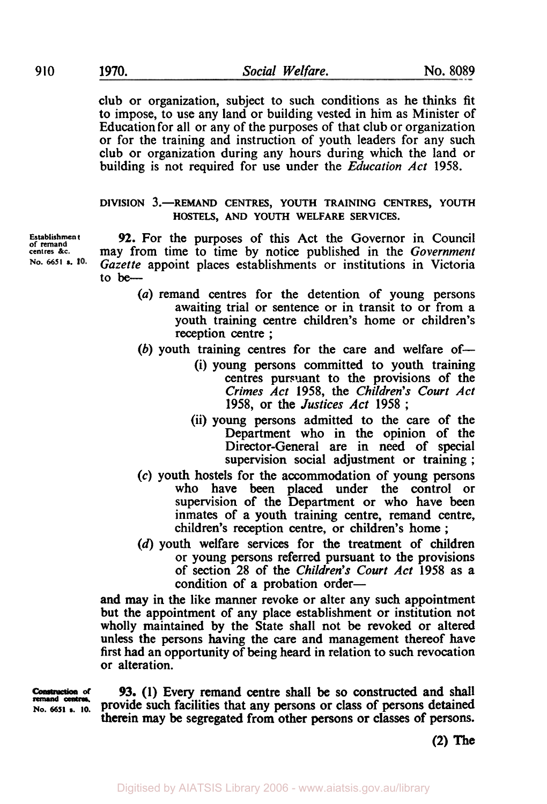club or organization, subject to such conditions as he thinks fit to impose, to use any land or building vested in him as Minister of Education for all or any of the purposes of that club or organization or for the training and instruction of youth leaders for any such club or organization during any hours during which the land or building is not required for use under the *Education Act* 1958.

**DIVISION 3.-REMAND CENTRES, YOUTH TRAINING CENTRES, YOUTH HOSTELS, AND YOUTH WELFARE SERVICES.** 

**of Establishment remand**  centres &c. **No- 6651 s.** 

*92.* For the purposes of this Act the Governor in Council may from time to time by notice published in the *Government Gazette* appoint places establishments or institutions in Victoria to **be-** 

- *(a)* remand centres for the detention of young persons awaiting trial or sentence or in transit to or from a youth training centre children's home or children's reception centre ;
- $(b)$  youth training centres for the care and welfare of-
	- (i) young persons committed to youth training centres pursuant to the provisions of the *Crimes Act* 1958, the *Children's Court Act*  1958, or the *Justices* Act 1958 ;
	- (ii) young persons admitted to the care of the Department who in the opinion of the Director-General are in need of special supervision social adjustment or training ;
- *(c)* youth hostels for the accommodation of young persons who have been placed under the control or supervision of the Department or who have been inmates of a youth training centre, remand centre, children's reception centre, or children's home ;
- (d) youth welfare services for the treatment of children or young persons referred pursuant to the provisions of section *28* of the *Children's Court Act* 1958 as a condition of a probation order-

and may in the like manner revoke or alter any such appointment but the appointment of any place establishment or institution not wholly maintained by the State shall not be revoked or altered unless the persons having the care and management thereof have first had an opportunity of being heard in relation to such revocation or alteration.

**remand** *centres.* 

*of* 93. **(1)** Every remand centre shall be **so** constructed and shall **No. 6651 s. 10.** provide such facilities that any persons or class of persons detained therein may be segregated from other persons **or** classes **of** persons.

**(2) The**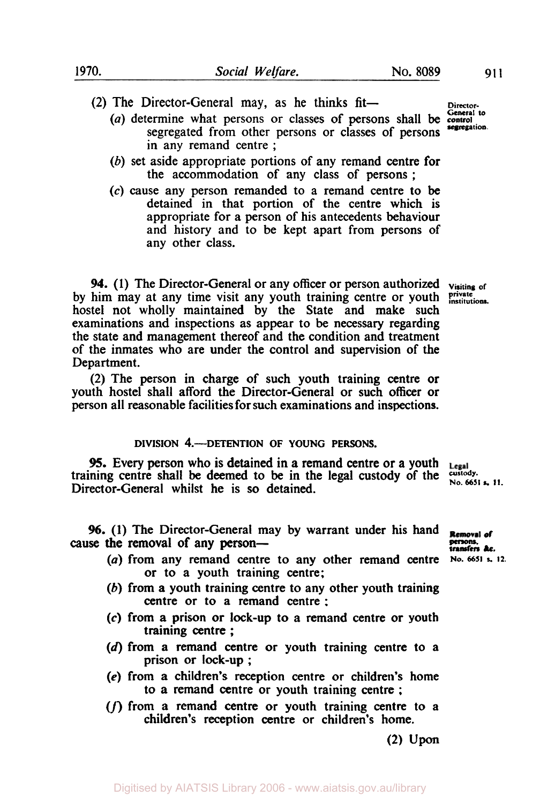(2) The Director-General may, as he thinks fit-

- **segregation.** *(a)* determine what persons or classes of persons shall be **control**  segregated from other persons or classes of persons in any remand centre ;
- (b) set aside appropriate portions of any remand centre for the accommodation of any class of persons ;
- *(c)* cause any person remanded to a remand centre to be detained in that portion of the centre which is appropriate for a person of his antecedents behaviour and history and to be kept apart from persons of any other class.

**94. (1)** The Director-General or any officer or person authorized **Visiting of**  by him may at any time visit any youth training centre or youth *private* institutions. hostel not wholly maintained by the State and make such examinations and inspections as appear to be necessary regarding the state and management thereof and the condition and treatment of the inmates who are under the control and supervision of the Department.

(2) The person in charge of such youth training centre or youth hostel shall afford the Director-General or such officer or person all reasonable facilities for such examinations and inspections.

#### **DIVISION 4.-DETENTION OF YOUNG PERSONS.**

**95.** Every person who is detained in a remand centre or a youth **15.** Every person wno is detained in a remand centre or a youth Legal training centre shall be deemed to be in the legal custody of the custody. Director-General whilst he is **so** detained.

**96. (1)** The Director-General may by warrant under his hand cause the removal of any person-

- *(a)* from any remand centre to any other remand centre **No. 6651** *s* **12.**  or to a youth training centre;
- (b) from a youth training centre to any other youth training centre or to **a** remand centre :
- **(c)** from **a** prison or lock-up to a remand centre or youth training centre ;
- **(d)** from a remand centre or youth training centre to a prison **or** lock-up ;
- **(e)** from **a** children's reception centre or children's home to **a** remand centre or youth training centre ;
- *(f)* from a remand centre or youth training centre to **<sup>a</sup>** children's reception centre **or** children's home.

**(2) Upon** 

**General to** 

**Removal** of persons.<br>transfers &c.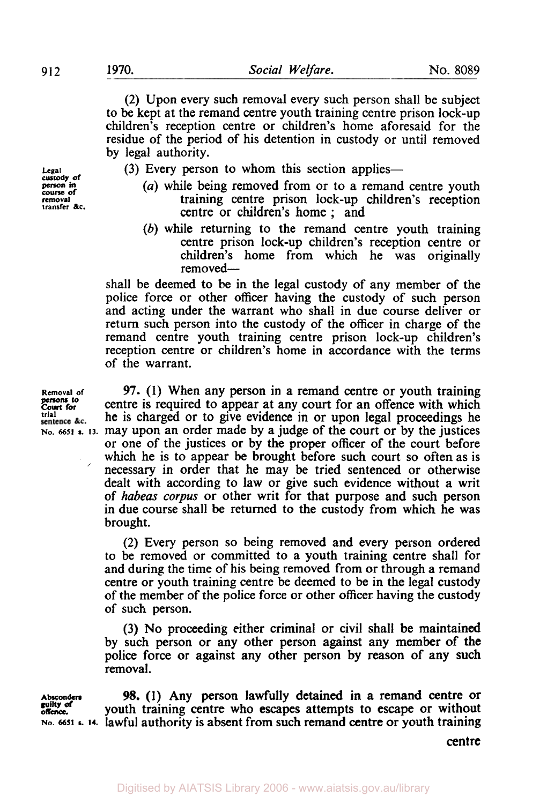**custody, of course of transfer &c.** 

(2) Upon every such removal every such person shall be subject to be kept at the remand centre youth training centre prison lock-up children's reception centre or children's home aforesaid for the residue of the period of his detention in custody or until removed by legal authority.

 $L_{gal}$  (3) Every person to whom this section applies—

- **person** in *(a)* while being removed from or to a remand centre youth **removal** training centre prison lock-up children's reception centre or children's home ; and
	- *(b)* while returning to the remand centre youth training centre prison lock-up children's reception centre or children's home from which he was originally removed-

shall be deemed **to** be in the legal custody of any member of the police force or other officer having the custody of such person and acting under the warrant who shall in due course deliver or return such person into the custody of the officer in charge of the remand centre youth training centre prison lock-up children's reception centre or children's home in accordance with the terms of the warrant.

**Removal of** *97.* **(1)** When any person in a remand centre or youth training **COUT COUT COURTER**<br>Court for centre is required to appear at any court for an offence with which  $S_{\text{mience &c}}$  is the is charged or to give evidence in or upon legal proceedings he  $N_0$ , 6651 **s.** 13. may upon an order made by a judge of the court or by the justices or one of the justices or by the proper officer of the court before which he is to appear be brought before such court so often as is necessary in order that he may be tried sentenced or otherwise dealt with according to law or give such evidence without a writ of *habeas corpus* or other writ for that purpose and such person in due course shall be returned to the custody from which he was brought. **trial** he is charged or to give evidence in or upon legal proceedings he

> (2) Every person so being removed and every person ordered to be removed or committed to a youth training centre shall for and during the time of his being removed from or through a remand centre or youth training centre be deemed to be in the legal custody of the member of the police force or other officer having the custody of such person.

> (3) No proceeding either criminal or civil shall be maintained by such person or any other person against any member of **the**  police force or against any other person by reason of any such removal.

**Absconders** 98. **(1)** Any person lawfully detained in a remand centre or youth training centre who **escapes** attempts to escape or without **No. 6651 s. 14.** lawful authority is absent from such remand centre or youth training **guilty of offence.** 

centre

**persons to**